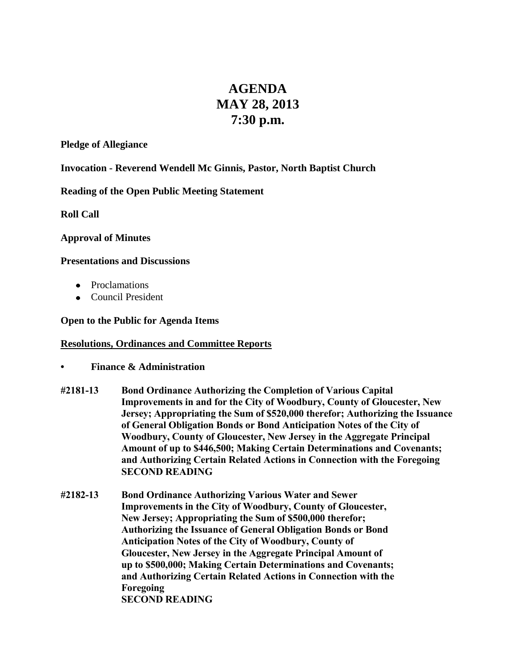# **AGENDA MAY 28, 2013 7:30 p.m.**

#### **Pledge of Allegiance**

**Invocation - Reverend Wendell Mc Ginnis, Pastor, North Baptist Church**

**Reading of the Open Public Meeting Statement**

**Roll Call**

### **Approval of Minutes**

### **Presentations and Discussions**

- Proclamations
- Council President

### **Open to the Public for Agenda Items**

### **Resolutions, Ordinances and Committee Reports**

- **• Finance & Administration**
- **#2181-13 Bond Ordinance Authorizing the Completion of Various Capital Improvements in and for the City of Woodbury, County of Gloucester, New Jersey; Appropriating the Sum of \$520,000 therefor; Authorizing the Issuance of General Obligation Bonds or Bond Anticipation Notes of the City of Woodbury, County of Gloucester, New Jersey in the Aggregate Principal Amount of up to \$446,500; Making Certain Determinations and Covenants; and Authorizing Certain Related Actions in Connection with the Foregoing SECOND READING**
- **#2182-13 Bond Ordinance Authorizing Various Water and Sewer Improvements in the City of Woodbury, County of Gloucester, New Jersey; Appropriating the Sum of \$500,000 therefor; Authorizing the Issuance of General Obligation Bonds or Bond Anticipation Notes of the City of Woodbury, County of Gloucester, New Jersey in the Aggregate Principal Amount of up to \$500,000; Making Certain Determinations and Covenants; and Authorizing Certain Related Actions in Connection with the Foregoing SECOND READING**